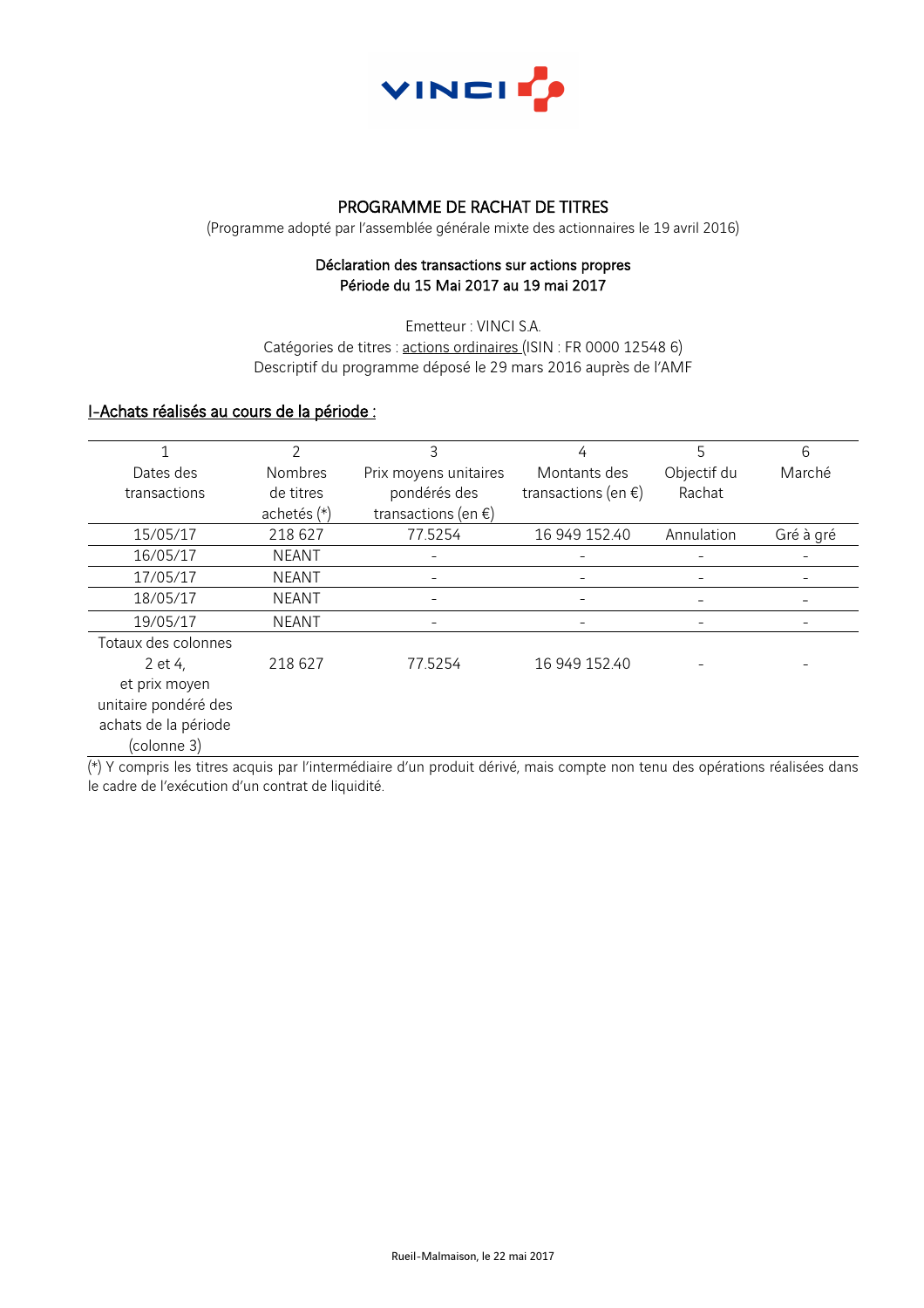

### PROGRAMME DE RACHAT DE TITRES

(Programme adopté par l'assemblée générale mixte des actionnaires le 19 avril 2016)

### Déclaration des transactions sur actions propres Période du 15 Mai 2017 au 19 mai 2017

Emetteur : VINCI S.A. Catégories de titres : actions ordinaires (ISIN : FR 0000 12548 6) Descriptif du programme déposé le 29 mars 2016 auprès de l'AMF

# I-Achats réalisés au cours de la période :

|                      | $\mathcal{P}$  | 3                             | 4                             | 5           | 6         |
|----------------------|----------------|-------------------------------|-------------------------------|-------------|-----------|
| Dates des            | <b>Nombres</b> | Prix moyens unitaires         | Montants des                  | Objectif du | Marché    |
| transactions         | de titres      | pondérés des                  | transactions (en $\epsilon$ ) | Rachat      |           |
|                      | achetés (*)    | transactions (en $\epsilon$ ) |                               |             |           |
| 15/05/17             | 218 627        | 77.5254                       | 16 949 152.40                 | Annulation  | Gré à gré |
| 16/05/17             | <b>NEANT</b>   |                               |                               |             |           |
| 17/05/17             | <b>NEANT</b>   |                               |                               |             |           |
| 18/05/17             | <b>NEANT</b>   |                               |                               |             |           |
| 19/05/17             | <b>NEANT</b>   |                               |                               |             |           |
| Totaux des colonnes  |                |                               |                               |             |           |
| 2 et 4,              | 218 627        | 77.5254                       | 16 949 152.40                 |             |           |
| et prix moyen        |                |                               |                               |             |           |
| unitaire pondéré des |                |                               |                               |             |           |
| achats de la période |                |                               |                               |             |           |
| (colonne 3)          |                |                               |                               |             |           |

(\*) Y compris les titres acquis par l'intermédiaire d'un produit dérivé, mais compte non tenu des opérations réalisées dans le cadre de l'exécution d'un contrat de liquidité.